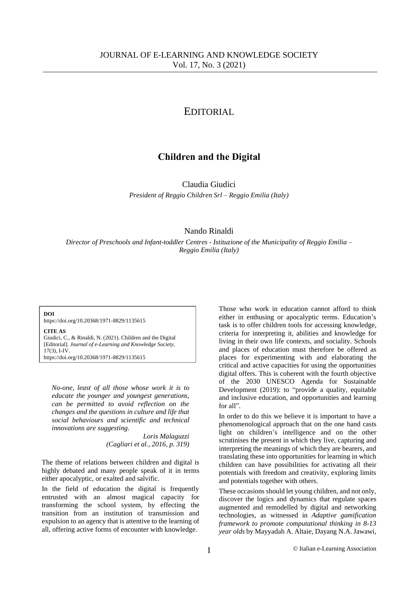## EDITORIAL

# **Children and the Digital**

Claudia Giudici

*President of Reggio Children Srl – Reggio Emilia (Italy)*

## Nando Rinaldi

*Director of Preschools and Infant-toddler Centres - Istituzione of the Municipality of Reggio Emilia – Reggio Emilia (Italy)*

**DOI** https://doi.org/10.20368/1971-8829/1135615

**CITE AS**

Giudici, C., & Rinaldi, N. (2021). Children and the Digital [Editorial]. *Journal of e-Learning and Knowledge Society*, 17(3), I-IV. https://doi.org/10.20368/1971-8829/1135615

*No-one, least of all those whose work it is to educate the younger and youngest generations, can be permitted to avoid reflection on the changes and the questions in culture and life that social behaviours and scientific and technical innovations are suggesting.*

> *Loris Malaguzzi (Cagliari et al., 2016, p. 319)*

The theme of relations between children and digital is highly debated and many people speak of it in terms either apocalyptic, or exalted and salvific.

In the field of education the digital is frequently entrusted with an almost magical capacity for transforming the school system, by effecting the transition from an institution of transmission and expulsion to an agency that is attentive to the learning of all, offering active forms of encounter with knowledge.

Those who work in education cannot afford to think either in enthusing or apocalyptic terms. Education's task is to offer children tools for accessing knowledge, criteria for interpreting it, abilities and knowledge for living in their own life contexts, and sociality. Schools and places of education must therefore be offered as places for experimenting with and elaborating the critical and active capacities for using the opportunities digital offers. This is coherent with the fourth objective of the 2030 UNESCO Agenda for Sustainable Development (2019): to "provide a quality, equitable and inclusive education, and opportunities and learning for all".

In order to do this we believe it is important to have a phenomenological approach that on the one hand casts light on children's intelligence and on the other scrutinises the present in which they live, capturing and interpreting the meanings of which they are bearers, and translating these into opportunities for learning in which children can have possibilities for activating all their potentials with freedom and creativity, exploring limits and potentials together with others.

These occasions should let young children, and not only, discover the logics and dynamics that regulate spaces augmented and remodelled by digital and networking technologies, as witnessed in *Adaptive gamification framework to promote computational thinking in 8-13 year olds* by Mayyadah A. Altaie, Dayang N.A. Jawawi,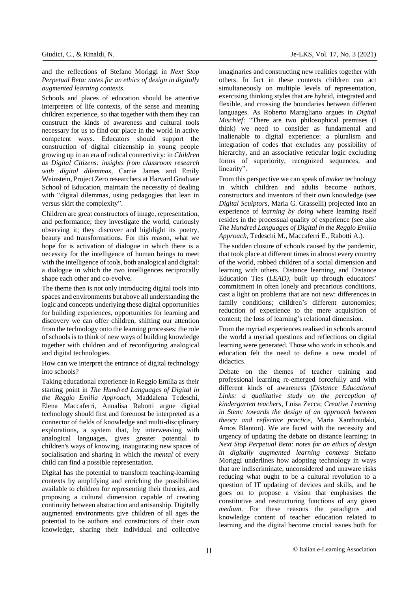and the reflections of Stefano Moriggi in *Next Stop Perpetual Beta: notes for an ethics of design in digitally augmented learning contexts*.

Schools and places of education should be attentive interpreters of life contexts, of the sense and meaning children experience, so that together with them they can construct the kinds of awareness and cultural tools necessary for us to find our place in the world in active competent ways. Educators should support the construction of digital citizenship in young people growing up in an era of radical connectivity: in *Children as Digital Citizens: insights from classroom research with digital dilemmas*, Carrie James and Emily Weinstein, Project Zero researchers at Harvard Graduate School of Education, maintain the necessity of dealing with "digital dilemmas, using pedagogies that lean in versus skirt the complexity".

Children are great constructors of image, representation, and performance; they investigate the world, curiously observing it; they discover and highlight its poetry, beauty and transformations. For this reason, what we hope for is activation of dialogue in which there is a necessity for the intelligence of human beings to meet with the intelligence of tools, both analogical and digital: a dialogue in which the two intelligences reciprocally shape each other and co-evolve.

The theme then is not only introducing digital tools into spaces and environments but above all understanding the logic and concepts underlying these digital opportunities for building experiences, opportunities for learning and discovery we can offer children, shifting our attention from the technology onto the learning processes: the role of schools is to think of new ways of building knowledge together with children and of reconfiguring analogical and digital technologies.

How can we interpret the entrance of digital technology into schools?

Taking educational experience in Reggio Emilia as their starting point in *The Hundred Languages of Digital in the Reggio Emilia Approach,* Maddalena Tedeschi, Elena Maccaferri, Annalisa Rabotti argue digital technology should first and foremost be interpreted as a connector of fields of knowledge and multi-disciplinary explorations, a system that, by interweaving with analogical languages, gives greater potential to children's ways of knowing, inaugurating new spaces of socialisation and sharing in which the *mental* of every child can find a possible representation.

Digital has the potential to transform teaching-learning contexts by amplifying and enriching the possibilities available to children for representing their theories, and proposing a cultural dimension capable of creating continuity between abstraction and artisanship. Digitally augmented environments give children of all ages the potential to be authors and constructors of their own knowledge, sharing their individual and collective imaginaries and constructing new realities together with others. In fact in these contexts children can act simultaneously on multiple levels of representation, exercising thinking styles that are hybrid, integrated and flexible, and crossing the boundaries between different languages. As Roberto Maragliano argues in *Digital Mischief*: "There are two philosophical premises (I think) we need to consider as fundamental and inalienable to digital experience: a pluralism and integration of codes that excludes any possibility of hierarchy, and an associative reticular logic excluding forms of superiority, recognized sequences, and linearity".

From this perspective we can speak of *maker* technology in which children and adults become authors, constructors and inventors of their own knowledge (see *Digital Sculptors*, Maria G. Grasselli) projected into an experience of *learning by doing* where learning itself resides in the processual quality of experience (see also *The Hundred Languages of Digital in the Reggio Emilia Approach*, Tedeschi M., Maccaferri E., Rabotti A.).

The sudden closure of schools caused by the pandemic, that took place at different times in almost every country of the world, robbed children of a social dimension and learning with others. Distance learning, and Distance Education Ties (*LEAD),* built up through educators' commitment in often lonely and precarious conditions, cast a light on problems that are not new: differences in family conditions; children's different autonomies; reduction of experience to the mere acquisition of content; the loss of learning's relational dimension.

From the myriad experiences realised in schools around the world a myriad questions and reflections on digital learning were generated. Those who work in schools and education felt the need to define a new model of didactics.

Debate on the themes of teacher training and professional learning re-emerged forcefully and with different kinds of awareness (*Distance Educational Links: a qualitative study on the perception of kindergarten teachers*, Luisa Zecca; *Creative Learning in Stem: towards the design of an approach between theory and reflective practice*, Maria Xanthoudaki, Amos Blanton). We are faced with the necessity and urgency of updating the debate on distance learning: in *Next Stop Perpetual Beta: notes for an ethics of design in digitally augmented learning contexts* Stefano Moriggi underlines how adopting technology in ways that are indiscriminate, unconsidered and unaware risks reducing what ought to be a cultural revolution to a question of IT updating of devices and skills, and he goes on to propose a vision that emphasises the constitutive and restructuring functions of any given *medium*. For these reasons the paradigms and knowledge content of teacher education related to learning and the digital become crucial issues both for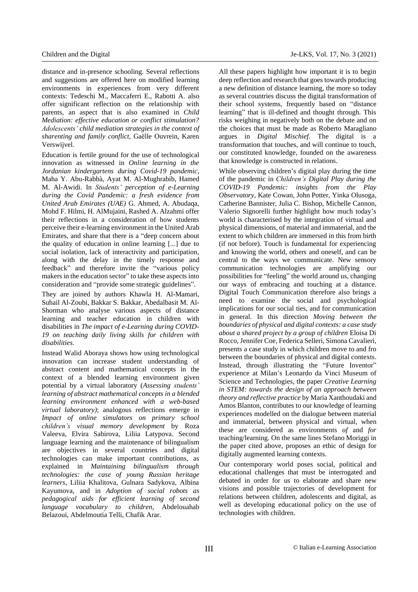distance and in-presence schooling. Several reflections and suggestions are offered here on modified learning environments in experiences from very different contexts: Tedeschi M., Maccaferri E., Rabotti A. also offer significant reflection on the relationship with parents, an aspect that is also examined in *Child Mediation: effective education or conflict stimulation? Adolescents' child mediation strategies in the context of sharenting and family conflict*, Gaëlle Ouvrein, Karen Verswijvel.

Education is fertile ground for the use of technological innovation as witnessed in *Online learning in the Jordanian kindergartens during Covid-19 pandemic*, Maha Y. Abu-Rabbà, Ayat M. Al-Mughrabib, Hamed M. Al-Awidi. In *Students' perception of e-Learning during the Covid Pandemic: a fresh evidence from United Arab Emirates (UAE)* G. Ahmed, A. Abudaqa, Mohd F. Hilmi, H. AlMujaini, Rashed A. Alzahmi offer their reflections in a consideration of how students perceive their e-learning environment in the United Arab Emirates, and share that there is a "deep concern about the quality of education in online learning [...] due to social isolation, lack of interactivity and participation, along with the delay in the timely response and feedback" and therefore invite the "various policy makers in the education sector" to take these aspects into consideration and "provide some strategic guidelines".

They are joined by authors Khawla H. Al-Mamari, Suhail Al-Zoubi, Bakkar S. Bakkar, Abedalbasit M. Al-Shorman who analyse various aspects of distance learning and teacher education in children with disabilities in *The impact of e-Learning during COVID-19 on teaching daily living skills for children with disabilities*.

Instead Walid Aboraya shows how using technological innovation can increase student understanding of abstract content and mathematical concepts in the context of a blended learning environment given potential by a virtual laboratory (*Assessing students' learning of abstract mathematical concepts in a blended learning environment enhanced with a web-based virtual laboratory)*; analogous reflections emerge in *Impact of online simulators on primary school children's visual memory development* by Roza Valeeva, Elvira Sabirova, Liliia Latypova. Second language learning and the maintenance of bilingualism are objectives in several countries and digital technologies can make important contributions, as explained in *Maintaining bilingualism through technologies: the case of young Russian heritage learners*, Liliia Khalitova, Gulnara Sadykova, Albina Kayumova, and in *Adoption of social robots as pedagogical aids for efficient learning of second language vocabulary to children*, Abdelouahab Belazoui, Abdelmoutia Telli, Chafik Arar.

All these papers highlight how important it is to begin deep reflection and research that goes towards producing a new definition of distance learning, the more so today as several countries discuss the digital transformation of their school systems, frequently based on "distance learning" that is ill-defined and thought through. This risks weighing in negatively both on the debate and on the choices that must be made as Roberto Maragliano argues in *Digital Mischief*. The digital is a transformation that touches, and will continue to touch, our constituted knowledge, founded on the awareness that knowledge is constructed in relations.

While observing children's digital play during the time of the pandemic in *Children's Digital Play during the COVID-19 Pandemic: insights from the Play Observatory*, Kate Cowan, John Potter, Yinka Olusoga, Catherine Bannister, Julia C. Bishop, Michelle Cannon, Valerio Signorelli further highlight how much today's world is characterised by the integration of virtual and physical dimensions, of material and immaterial, and the extent to which children are immersed in this from birth (if not before). Touch is fundamental for experiencing and knowing the world, others and oneself, and can be central to the ways we communicate. New sensory communication technologies are amplifying our possibilities for "feeling" the world around us, changing our ways of embracing and touching at a distance. Digital Touch Communication therefore also brings a need to examine the social and psychological implications for our social ties, and for communication in general. In this direction *Moving between the boundaries of physical and digital contexts: a case study about a shared project by a group of children* Eloisa Di Rocco, Jennifer Coe, Federica Selleri, Simona Cavalieri, presents a case study in which children move to and fro between the boundaries of physical and digital contexts. Instead, through illustrating the "Future Inventor" experience at Milan's Leonardo da Vinci Museum of Science and Technologies, the paper *Creative Learning in STEM: towards the design of an approach between theory and reflective practice* by Maria Xanthoudaki and Amos Blanton, contributes to our knowledge of learning experiences modelled on the dialogue between material and immaterial, between physical and virtual, when these are considered as environments *of* and *for* teaching/learning. On the same lines Stefano Moriggi in the paper cited above, proposes an ethic of design for digitally augmented learning contexts.

Our contemporary world poses social, political and educational challenges that must be interrogated and debated in order for us to elaborate and share new visions and possible trajectories of development for relations between children, adolescents and digital, as well as developing educational policy on the use of technologies with children.